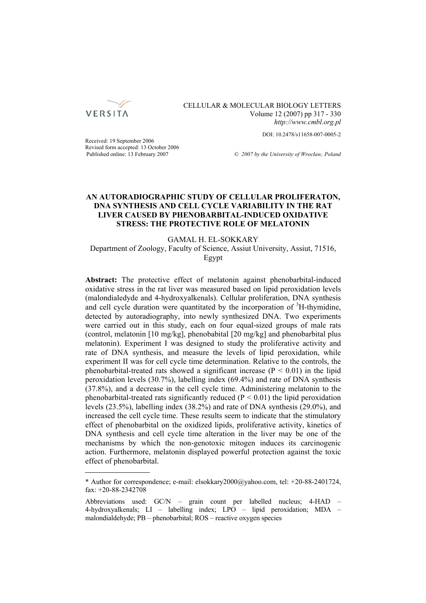

CELLULAR & MOLECULAR BIOLOGY LETTERS Volume 12 (2007) pp 317 - 330 *http://www.cmbl.org.pl*

DOI: 10.2478/s11658-007-0005-2

Received: 19 September 2006 Revised form accepted: 13 October 2006

Published online: 13 February 2007 *© 2007 by the University of Wrocław, Poland*

## **AN AUTORADIOGRAPHIC STUDY OF CELLULAR PROLIFERATON, DNA SYNTHESIS AND CELL CYCLE VARIABILITY IN THE RAT LIVER CAUSED BY PHENOBARBITAL-INDUCED OXIDATIVE STRESS: THE PROTECTIVE ROLE OF MELATONIN**

GAMAL H. EL-SOKKARY Department of Zoology, Faculty of Science, Assiut University, Assiut, 71516, Egypt

**Abstract:** The protective effect of melatonin against phenobarbital-induced oxidative stress in the rat liver was measured based on lipid peroxidation levels (malondialedyde and 4-hydroxyalkenals). Cellular proliferation, DNA synthesis and cell cycle duration were quantitated by the incorporation of  ${}^{3}$ H-thymidine, detected by autoradiography, into newly synthesized DNA. Two experiments were carried out in this study, each on four equal-sized groups of male rats (control, melatonin [10 mg/kg], phenobabital [20 mg/kg] and phenobarbital plus melatonin). Experiment I was designed to study the proliferative activity and rate of DNA synthesis, and measure the levels of lipid peroxidation, while experiment II was for cell cycle time determination. Relative to the controls, the phenobarbital-treated rats showed a significant increase  $(P < 0.01)$  in the lipid peroxidation levels (30.7%), labelling index (69.4%) and rate of DNA synthesis (37.8%), and a decrease in the cell cycle time. Administering melatonin to the phenobarbital-treated rats significantly reduced  $(P < 0.01)$  the lipid peroxidation levels (23.5%), labelling index (38.2%) and rate of DNA synthesis (29.0%), and increased the cell cycle time. These results seem to indicate that the stimulatory effect of phenobarbital on the oxidized lipids, proliferative activity, kinetics of DNA synthesis and cell cycle time alteration in the liver may be one of the mechanisms by which the non-genotoxic mitogen induces its carcinogenic action. Furthermore, melatonin displayed powerful protection against the toxic effect of phenobarbital.

<sup>\*</sup> Author for correspondence; e-mail: elsokkary2000@yahoo.com, tel: +20-88-2401724, fax: +20-88-2342708

Abbreviations used: GC/N – grain count per labelled nucleus; 4-HAD – 4-hydroxyalkenals;  $LI$  – labelling index;  $LPO$  – lipid peroxidation; MDA – malondialdehyde; PB – phenobarbital; ROS – reactive oxygen species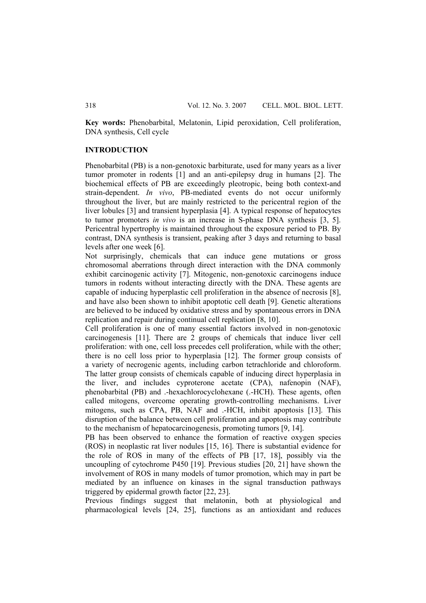**Key words:** Phenobarbital, Melatonin, Lipid peroxidation, Cell proliferation, DNA synthesis, Cell cycle

### **INTRODUCTION**

Phenobarbital (PB) is a non-genotoxic barbiturate, used for many years as a liver tumor promoter in rodents [1] and an anti-epilepsy drug in humans [2]. The biochemical effects of PB are exceedingly pleotropic, being both context-and strain-dependent. *In vivo*, PB-mediated events do not occur uniformly throughout the liver, but are mainly restricted to the pericentral region of the liver lobules [3] and transient hyperplasia [4]. A typical response of hepatocytes to tumor promoters *in vivo* is an increase in S-phase DNA synthesis [3, 5]. Pericentral hypertrophy is maintained throughout the exposure period to PB. By contrast, DNA synthesis is transient, peaking after 3 days and returning to basal levels after one week [6].

Not surprisingly, chemicals that can induce gene mutations or gross chromosomal aberrations through direct interaction with the DNA commonly exhibit carcinogenic activity [7]. Mitogenic, non-genotoxic carcinogens induce tumors in rodents without interacting directly with the DNA. These agents are capable of inducing hyperplastic cell proliferation in the absence of necrosis [8], and have also been shown to inhibit apoptotic cell death [9]. Genetic alterations are believed to be induced by oxidative stress and by spontaneous errors in DNA replication and repair during continual cell replication [8, 10].

Cell proliferation is one of many essential factors involved in non-genotoxic carcinogenesis [11]. There are 2 groups of chemicals that induce liver cell proliferation: with one, cell loss precedes cell proliferation, while with the other; there is no cell loss prior to hyperplasia [12]. The former group consists of a variety of necrogenic agents, including carbon tetrachloride and chloroform. The latter group consists of chemicals capable of inducing direct hyperplasia in the liver, and includes cyproterone acetate (CPA), nafenopin (NAF), phenobarbital (PB) and .-hexachlorocyclohexane (.-HCH). These agents, often called mitogens, overcome operating growth-controlling mechanisms. Liver mitogens, such as CPA, PB, NAF and .-HCH, inhibit apoptosis [13]. This disruption of the balance between cell proliferation and apoptosis may contribute to the mechanism of hepatocarcinogenesis, promoting tumors [9, 14].

PB has been observed to enhance the formation of reactive oxygen species (ROS) in neoplastic rat liver nodules [15, 16]. There is substantial evidence for the role of ROS in many of the effects of PB [17, 18], possibly via the uncoupling of cytochrome P450 [19]. Previous studies [20, 21] have shown the involvement of ROS in many models of tumor promotion, which may in part be mediated by an influence on kinases in the signal transduction pathways triggered by epidermal growth factor [22, 23].

Previous findings suggest that melatonin, both at physiological and pharmacological levels [24, 25], functions as an antioxidant and reduces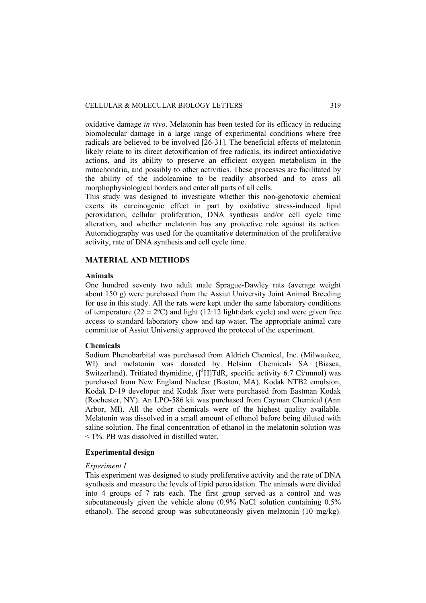oxidative damage *in vivo*. Melatonin has been tested for its efficacy in reducing biomolecular damage in a large range of experimental conditions where free radicals are believed to be involved [26-31]. The beneficial effects of melatonin likely relate to its direct detoxification of free radicals, its indirect antioxidative actions, and its ability to preserve an efficient oxygen metabolism in the mitochondria, and possibly to other activities. These processes are facilitated by the ability of the indoleamine to be readily absorbed and to cross all morphophysiological borders and enter all parts of all cells.

This study was designed to investigate whether this non-genotoxic chemical exerts its carcinogenic effect in part by oxidative stress-induced lipid peroxidation, cellular proliferation, DNA synthesis and/or cell cycle time alteration, and whether melatonin has any protective role against its action. Autoradiography was used for the quantitative determination of the proliferative activity, rate of DNA synthesis and cell cycle time.

### **MATERIAL AND METHODS**

#### **Animals**

One hundred seventy two adult male Sprague-Dawley rats (average weight about 150 g) were purchased from the Assiut University Joint Animal Breeding for use in this study. All the rats were kept under the same laboratory conditions of temperature ( $22 \pm 2$ °C) and light (12:12 light:dark cycle) and were given free access to standard laboratory chow and tap water. The appropriate animal care committee of Assiut University approved the protocol of the experiment.

## **Chemicals**

Sodium Phenobarbital was purchased from Aldrich Chemical, Inc. (Milwaukee, WI) and melatonin was donated by Helsinn Chemicals SA (Biasca, Switzerland). Tritiated thymidine, ([<sup>3</sup>H]TdR, specific activity 6.7 Ci/mmol) was purchased from New England Nuclear (Boston, MA). Kodak NTB2 emulsion, Kodak D-19 developer and Kodak fixer were purchased from Eastman Kodak (Rochester, NY). An LPO-586 kit was purchased from Cayman Chemical (Ann Arbor, MI). All the other chemicals were of the highest quality available. Melatonin was dissolved in a small amount of ethanol before being diluted with saline solution. The final concentration of ethanol in the melatonin solution was < 1%. PB was dissolved in distilled water.

### **Experimental design**

#### *Experiment I*

This experiment was designed to study proliferative activity and the rate of DNA synthesis and measure the levels of lipid peroxidation. The animals were divided into 4 groups of 7 rats each. The first group served as a control and was subcutaneously given the vehicle alone (0.9% NaCl solution containing 0.5% ethanol). The second group was subcutaneously given melatonin (10 mg/kg).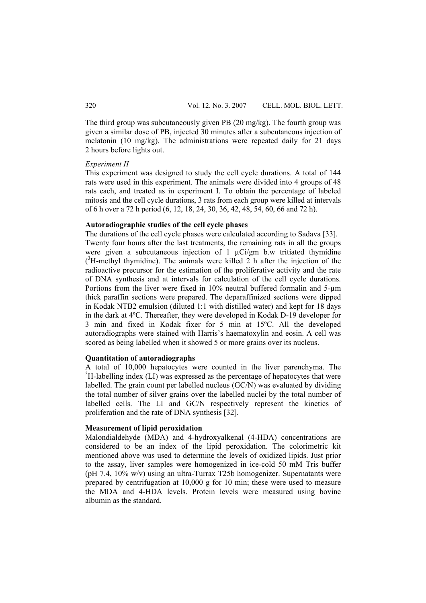The third group was subcutaneously given PB (20 mg/kg). The fourth group was given a similar dose of PB, injected 30 minutes after a subcutaneous injection of melatonin (10 mg/kg). The administrations were repeated daily for 21 days 2 hours before lights out.

### *Experiment II*

This experiment was designed to study the cell cycle durations. A total of 144 rats were used in this experiment. The animals were divided into 4 groups of 48 rats each, and treated as in experiment I. To obtain the percentage of labeled mitosis and the cell cycle durations, 3 rats from each group were killed at intervals of 6 h over a 72 h period (6, 12, 18, 24, 30, 36, 42, 48, 54, 60, 66 and 72 h).

## **Autoradiographic studies of the cell cycle phases**

The durations of the cell cycle phases were calculated according to Sadava [33]. Twenty four hours after the last treatments, the remaining rats in all the groups were given a subcutaneous injection of  $1 \mu Ci/gm$  b.w tritiated thymidine  $(3H$ -methyl thymidine). The animals were killed 2 h after the injection of the radioactive precursor for the estimation of the proliferative activity and the rate of DNA synthesis and at intervals for calculation of the cell cycle durations. Portions from the liver were fixed in 10% neutral buffered formalin and 5-µm thick paraffin sections were prepared. The deparaffinized sections were dipped in Kodak NTB2 emulsion (diluted 1:1 with distilled water) and kept for 18 days in the dark at 4ºC. Thereafter, they were developed in Kodak D-19 developer for 3 min and fixed in Kodak fixer for 5 min at 15ºC. All the developed autoradiographs were stained with Harris's haematoxylin and eosin. A cell was scored as being labelled when it showed 5 or more grains over its nucleus.

# **Quantitation of autoradiographs**

A total of 10,000 hepatocytes were counted in the liver parenchyma. The  $3H$ -labelling index (LI) was expressed as the percentage of hepatocytes that were labelled. The grain count per labelled nucleus (GC/N) was evaluated by dividing the total number of silver grains over the labelled nuclei by the total number of labelled cells. The LI and GC/N respectively represent the kinetics of proliferation and the rate of DNA synthesis [32].

### **Measurement of lipid peroxidation**

Malondialdehyde (MDA) and 4-hydroxyalkenal (4-HDA) concentrations are considered to be an index of the lipid peroxidation. The colorimetric kit mentioned above was used to determine the levels of oxidized lipids. Just prior to the assay, liver samples were homogenized in ice-cold 50 mM Tris buffer (pH 7.4, 10% w/v) using an ultra-Turrax T25b homogenizer. Supernatants were prepared by centrifugation at 10,000 g for 10 min; these were used to measure the MDA and 4-HDA levels. Protein levels were measured using bovine albumin as the standard.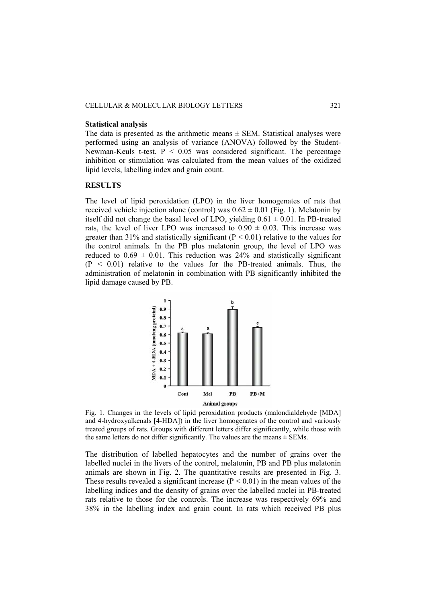#### **Statistical analysis**

The data is presented as the arithmetic means  $\pm$  SEM. Statistical analyses were performed using an analysis of variance (ANOVA) followed by the Student-Newman-Keuls t-test.  $P < 0.05$  was considered significant. The percentage inhibition or stimulation was calculated from the mean values of the oxidized lipid levels, labelling index and grain count.

## **RESULTS**

The level of lipid peroxidation (LPO) in the liver homogenates of rats that received vehicle injection alone (control) was  $0.62 \pm 0.01$  (Fig. 1). Melatonin by itself did not change the basal level of LPO, yielding  $0.61 \pm 0.01$ . In PB-treated rats, the level of liver LPO was increased to  $0.90 \pm 0.03$ . This increase was greater than 31% and statistically significant ( $P < 0.01$ ) relative to the values for the control animals. In the PB plus melatonin group, the level of LPO was reduced to  $0.69 \pm 0.01$ . This reduction was 24% and statistically significant  $(P < 0.01)$  relative to the values for the PB-treated animals. Thus, the administration of melatonin in combination with PB significantly inhibited the lipid damage caused by PB.



Fig. 1. Changes in the levels of lipid peroxidation products (malondialdehyde [MDA] and 4-hydroxyalkenals [4-HDA]) in the liver homogenates of the control and variously treated groups of rats. Groups with different letters differ significantly, while those with the same letters do not differ significantly. The values are the means  $\pm$  SEMs.

The distribution of labelled hepatocytes and the number of grains over the labelled nuclei in the livers of the control, melatonin, PB and PB plus melatonin animals are shown in Fig. 2. The quantitative results are presented in Fig. 3. These results revealed a significant increase  $(P < 0.01)$  in the mean values of the labelling indices and the density of grains over the labelled nuclei in PB-treated rats relative to those for the controls. The increase was respectively 69% and 38% in the labelling index and grain count. In rats which received PB plus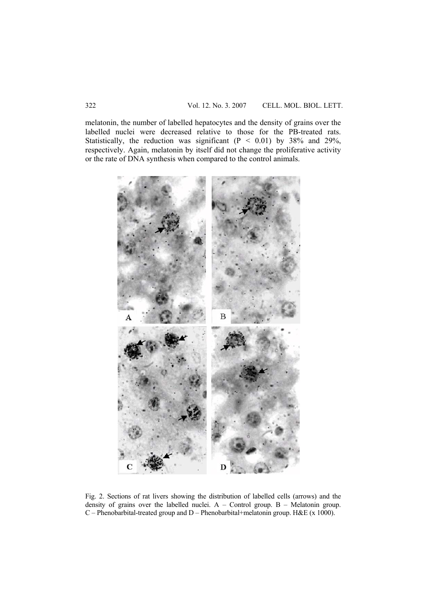melatonin, the number of labelled hepatocytes and the density of grains over the labelled nuclei were decreased relative to those for the PB-treated rats. Statistically, the reduction was significant  $(P < 0.01)$  by 38% and 29%, respectively. Again, melatonin by itself did not change the proliferative activity or the rate of DNA synthesis when compared to the control animals.



Fig. 2. Sections of rat livers showing the distribution of labelled cells (arrows) and the density of grains over the labelled nuclei. A – Control group. B – Melatonin group. C – Phenobarbital-treated group and D – Phenobarbital+melatonin group. H&E (x 1000).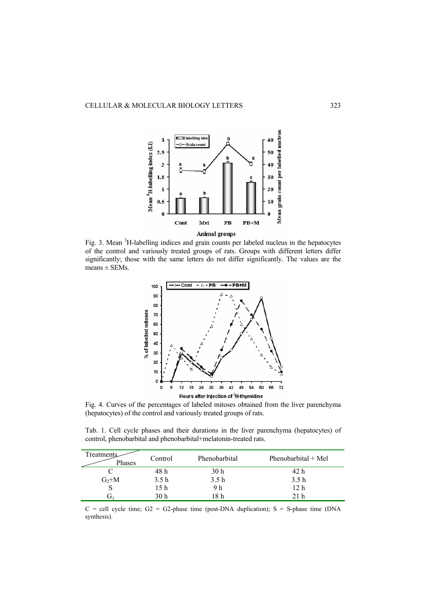

Fig. 3. Mean <sup>3</sup>H-labelling indices and grain counts per labeled nucleus in the hepatocytes of the control and variously treated groups of rats. Groups with different letters differ significantly; those with the same letters do not differ significantly. The values are the  $means \pm$  SEMs.



Fig. 4. Curves of the percentages of labeled mitoses obtained from the liver parenchyma (hepatocytes) of the control and variously treated groups of rats.

Tab. 1. Cell cycle phases and their durations in the liver parenchyma (hepatocytes) of control, phenobarbital and phenobarbital+melatonin-treated rats.

| Treatments<br>Phases | Control | Phenobarbital | Phenobarbital $+$ Mel |
|----------------------|---------|---------------|-----------------------|
|                      | 48 h    | 30 h          | 42 h                  |
| $G_2+M$              | 3.5h    | 3.5h          | 3.5h                  |
|                      | 15 h    | 9 h           | 12 h                  |
|                      | 30 h    | 18 h          | 21 h                  |

 $C =$  cell cycle time;  $G2 = G2$ -phase time (post-DNA duplication); S = S-phase time (DNA synthesis).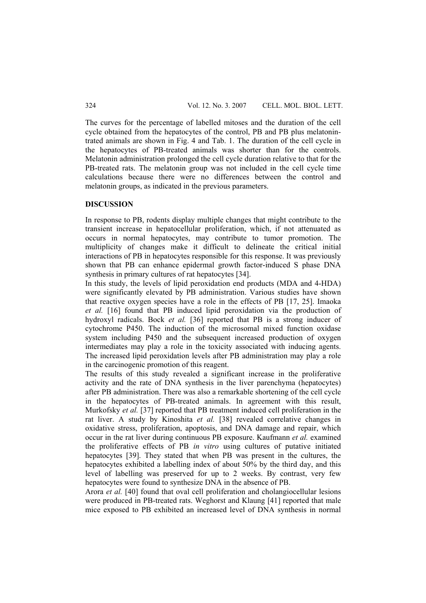The curves for the percentage of labelled mitoses and the duration of the cell cycle obtained from the hepatocytes of the control, PB and PB plus melatonintrated animals are shown in Fig. 4 and Tab. 1. The duration of the cell cycle in the hepatocytes of PB-treated animals was shorter than for the controls. Melatonin administration prolonged the cell cycle duration relative to that for the PB-treated rats. The melatonin group was not included in the cell cycle time calculations because there were no differences between the control and melatonin groups, as indicated in the previous parameters.

## **DISCUSSION**

In response to PB, rodents display multiple changes that might contribute to the transient increase in hepatocellular proliferation, which, if not attenuated as occurs in normal hepatocytes, may contribute to tumor promotion. The multiplicity of changes make it difficult to delineate the critical initial interactions of PB in hepatocytes responsible for this response. It was previously shown that PB can enhance epidermal growth factor-induced S phase DNA synthesis in primary cultures of rat hepatocytes [34].

In this study, the levels of lipid peroxidation end products (MDA and 4-HDA) were significantly elevated by PB administration. Various studies have shown that reactive oxygen species have a role in the effects of PB [17, 25]. Imaoka *et al.* [16] found that PB induced lipid peroxidation via the production of hydroxyl radicals. Bock *et al.* [36] reported that PB is a strong inducer of cytochrome P450. The induction of the microsomal mixed function oxidase system including P450 and the subsequent increased production of oxygen intermediates may play a role in the toxicity associated with inducing agents. The increased lipid peroxidation levels after PB administration may play a role in the carcinogenic promotion of this reagent.

The results of this study revealed a significant increase in the proliferative activity and the rate of DNA synthesis in the liver parenchyma (hepatocytes) after PB administration. There was also a remarkable shortening of the cell cycle in the hepatocytes of PB-treated animals. In agreement with this result, Murkofsky *et al.* [37] reported that PB treatment induced cell proliferation in the rat liver. A study by Kinoshita *et al.* [38] revealed correlative changes in oxidative stress, proliferation, apoptosis, and DNA damage and repair, which occur in the rat liver during continuous PB exposure. Kaufmann *et al.* examined the proliferative effects of PB *in vitro* using cultures of putative initiated hepatocytes [39]. They stated that when PB was present in the cultures, the hepatocytes exhibited a labelling index of about 50% by the third day, and this level of labelling was preserved for up to 2 weeks. By contrast, very few hepatocytes were found to synthesize DNA in the absence of PB.

Arora *et al.* [40] found that oval cell proliferation and cholangiocellular lesions were produced in PB-treated rats. Weghorst and Klaung [41] reported that male mice exposed to PB exhibited an increased level of DNA synthesis in normal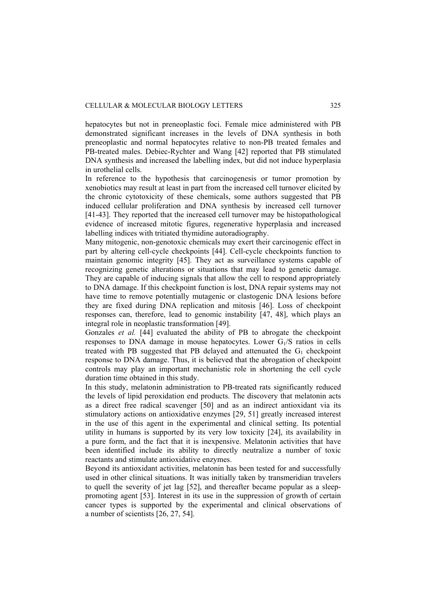hepatocytes but not in preneoplastic foci. Female mice administered with PB demonstrated significant increases in the levels of DNA synthesis in both preneoplastic and normal hepatocytes relative to non-PB treated females and PB-treated males. Debiec-Rychter and Wang [42] reported that PB stimulated DNA synthesis and increased the labelling index, but did not induce hyperplasia in urothelial cells.

In reference to the hypothesis that carcinogenesis or tumor promotion by xenobiotics may result at least in part from the increased cell turnover elicited by the chronic cytotoxicity of these chemicals, some authors suggested that PB induced cellular proliferation and DNA synthesis by increased cell turnover [41-43]. They reported that the increased cell turnover may be histopathological evidence of increased mitotic figures, regenerative hyperplasia and increased labelling indices with tritiated thymidine autoradiography.

Many mitogenic, non-genotoxic chemicals may exert their carcinogenic effect in part by altering cell-cycle checkpoints [44]. Cell-cycle checkpoints function to maintain genomic integrity [45]. They act as surveillance systems capable of recognizing genetic alterations or situations that may lead to genetic damage. They are capable of inducing signals that allow the cell to respond appropriately to DNA damage. If this checkpoint function is lost, DNA repair systems may not have time to remove potentially mutagenic or clastogenic DNA lesions before they are fixed during DNA replication and mitosis [46]. Loss of checkpoint responses can, therefore, lead to genomic instability [47, 48], which plays an integral role in neoplastic transformation [49].

Gonzales *et al.* [44] evaluated the ability of PB to abrogate the checkpoint responses to DNA damage in mouse hepatocytes. Lower  $G_1/S$  ratios in cells treated with PB suggested that PB delayed and attenuated the  $G_1$  checkpoint response to DNA damage. Thus, it is believed that the abrogation of checkpoint controls may play an important mechanistic role in shortening the cell cycle duration time obtained in this study.

In this study, melatonin administration to PB-treated rats significantly reduced the levels of lipid peroxidation end products. The discovery that melatonin acts as a direct free radical scavenger [50] and as an indirect antioxidant via its stimulatory actions on antioxidative enzymes [29, 51] greatly increased interest in the use of this agent in the experimental and clinical setting. Its potential utility in humans is supported by its very low toxicity [24], its availability in a pure form, and the fact that it is inexpensive. Melatonin activities that have been identified include its ability to directly neutralize a number of toxic reactants and stimulate antioxidative enzymes.

Beyond its antioxidant activities, melatonin has been tested for and successfully used in other clinical situations. It was initially taken by transmeridian travelers to quell the severity of jet lag [52], and thereafter became popular as a sleeppromoting agent [53]. Interest in its use in the suppression of growth of certain cancer types is supported by the experimental and clinical observations of a number of scientists [26, 27, 54].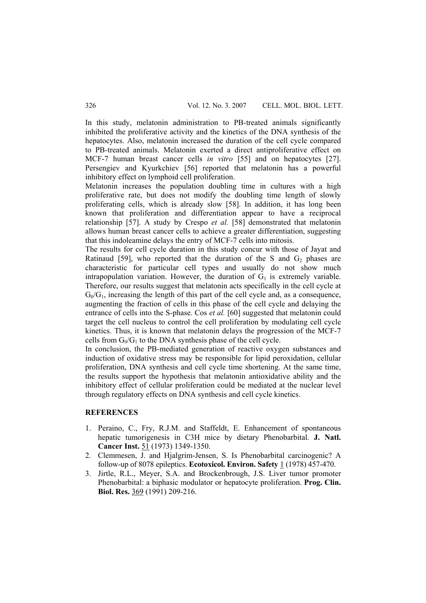In this study, melatonin administration to PB-treated animals significantly inhibited the proliferative activity and the kinetics of the DNA synthesis of the hepatocytes. Also, melatonin increased the duration of the cell cycle compared to PB-treated animals. Melatonin exerted a direct antiproliferative effect on MCF-7 human breast cancer cells *in vitro* [55] and on hepatocytes [27]. Persengiev and Kyurkchiev [56] reported that melatonin has a powerful inhibitory effect on lymphoid cell proliferation.

Melatonin increases the population doubling time in cultures with a high proliferative rate, but does not modify the doubling time length of slowly proliferating cells, which is already slow [58]. In addition, it has long been known that proliferation and differentiation appear to have a reciprocal relationship [57]. A study by Crespo *et al.* [58] demonstrated that melatonin allows human breast cancer cells to achieve a greater differentiation, suggesting that this indoleamine delays the entry of MCF-7 cells into mitosis.

The results for cell cycle duration in this study concur with those of Jayat and Ratinaud [59], who reported that the duration of the S and  $G_2$  phases are characteristic for particular cell types and usually do not show much intrapopulation variation. However, the duration of  $G_1$  is extremely variable. Therefore, our results suggest that melatonin acts specifically in the cell cycle at  $G_0/G_1$ , increasing the length of this part of the cell cycle and, as a consequence, augmenting the fraction of cells in this phase of the cell cycle and delaying the entrance of cells into the S-phase. Cos *et al.* [60] suggested that melatonin could target the cell nucleus to control the cell proliferation by modulating cell cycle kinetics. Thus, it is known that melatonin delays the progression of the MCF-7 cells from  $G_0/G_1$  to the DNA synthesis phase of the cell cycle.

In conclusion, the PB-mediated generation of reactive oxygen substances and induction of oxidative stress may be responsible for lipid peroxidation, cellular proliferation, DNA synthesis and cell cycle time shortening. At the same time, the results support the hypothesis that melatonin antioxidative ability and the inhibitory effect of cellular proliferation could be mediated at the nuclear level through regulatory effects on DNA synthesis and cell cycle kinetics.

# **REFERENCES**

- 1. Peraino, C., Fry, R.J.M. and Staffeldt, E. Enhancement of spontaneous hepatic tumorigenesis in C3H mice by dietary Phenobarbital. **J. Natl. Cancer Inst.** 51 (1973) 1349-1350.
- 2. Clemmesen, J. and Hjalgrim-Jensen, S. Is Phenobarbital carcinogenic? A follow-up of 8078 epileptics. **Ecotoxicol. Environ. Safety** 1 (1978) 457-470.
- 3. Jirtle, R.L., Meyer, S.A. and Brockenbrough, J.S. Liver tumor promoter Phenobarbital: a biphasic modulator or hepatocyte proliferation. **Prog. Clin. Biol. Res.** 369 (1991) 209-216.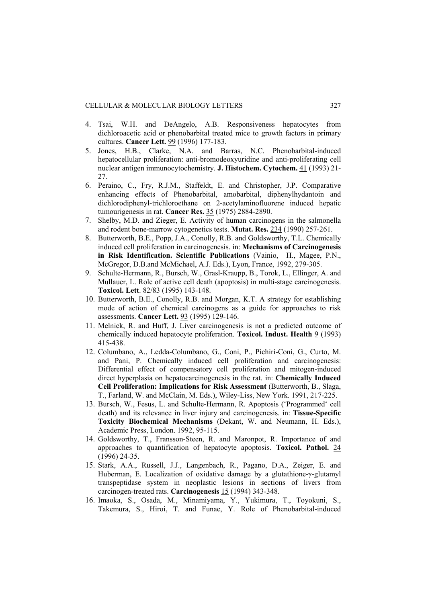- 4. Tsai, W.H. and DeAngelo, A.B. Responsiveness hepatocytes from dichloroacetic acid or phenobarbital treated mice to growth factors in primary cultures. **Cancer Lett.** 99 (1996) 177-183.
- 5. Jones, H.B., Clarke, N.A. and Barras, N.C. Phenobarbital-induced hepatocellular proliferation: anti-bromodeoxyuridine and anti-proliferating cell nuclear antigen immunocytochemistry. **J. Histochem. Cytochem.** 41 (1993) 21- 27.
- 6. Peraino, C., Fry, R.J.M., Staffeldt, E. and Christopher, J.P. Comparative enhancing effects of Phenobarbital, amobarbital, diphenylhydantoin and dichlorodiphenyl-trichloroethane on 2-acetylaminofluorene induced hepatic tumourigenesis in rat. **Cancer Res.** 35 (1975) 2884-2890.
- 7. Shelby, M.D. and Zieger, E. Activity of human carcinogens in the salmonella and rodent bone-marrow cytogenetics tests. **Mutat. Res.** 234 (1990) 257-261.
- 8. Butterworth, B.E., Popp, J.A., Conolly, R.B. and Goldsworthy, T.L. Chemically induced cell proliferation in carcinogenesis. in: **Mechanisms of Carcinogenesis in Risk Identification. Scientific Publications** (Vainio, H., Magee, P.N., McGregor, D.B.and McMichael, A.J. Eds.), Lyon, France, 1992, 279-305.
- 9. Schulte-Hermann, R., Bursch, W., Grasl-Kraupp, B., Torok, L., Ellinger, A. and Mullauer, L. Role of active cell death (apoptosis) in multi-stage carcinogenesis. **Toxicol. Lett**. 82/83 (1995) 143-148.
- 10. Butterworth, B.E., Conolly, R.B. and Morgan, K.T. A strategy for establishing mode of action of chemical carcinogens as a guide for approaches to risk assessments. **Cancer Lett.** 93 (1995) 129-146.
- 11. Melnick, R. and Huff, J. Liver carcinogenesis is not a predicted outcome of chemically induced hepatocyte proliferation. **Toxicol. Indust. Health** 9 (1993) 415-438.
- 12. Columbano, A., Ledda-Columbano, G., Coni, P., Pichiri-Coni, G., Curto, M. and Pani, P. Chemically induced cell proliferation and carcinogenesis: Differential effect of compensatory cell proliferation and mitogen-induced direct hyperplasia on hepatocarcinogenesis in the rat. in: **Chemically Induced Cell Proliferation: Implications for Risk Assessment** (Butterworth, B., Slaga, T., Farland, W. and McClain, M. Eds.), Wiley-Liss, New York. 1991, 217-225.
- 13. Bursch, W., Fesus, L. and Schulte-Hermann, R. Apoptosis ('Programmed' cell death) and its relevance in liver injury and carcinogenesis. in: **Tissue-Specific Toxicity Biochemical Mechanisms** (Dekant, W. and Neumann, H. Eds.), Academic Press, London. 1992, 95-115.
- 14. Goldsworthy, T., Fransson-Steen, R. and Maronpot, R. Importance of and approaches to quantification of hepatocyte apoptosis. **Toxicol. Pathol.** 24 (1996) 24-35.
- 15. Stark, A.A., Russell, J.J., Langenbach, R., Pagano, D.A., Zeiger, E. and Huberman, E. Localization of oxidative damage by a glutathione-γ-glutamyl transpeptidase system in neoplastic lesions in sections of livers from carcinogen-treated rats. **Carcinogenesis** 15 (1994) 343-348.
- 16. Imaoka, S., Osada, M., Minamiyama, Y., Yukimura, T., Toyokuni, S., Takemura, S., Hiroi, T. and Funae, Y. Role of Phenobarbital-induced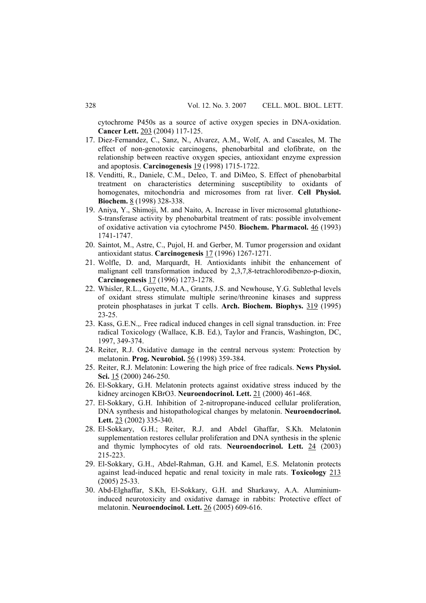cytochrome P450s as a source of active oxygen species in DNA-oxidation. **Cancer Lett.** 203 (2004) 117-125.

- 17. Diez-Fernandez, C., Sanz, N., Alvarez, A.M., Wolf, A. and Cascales, M. The effect of non-genotoxic carcinogens, phenobarbital and clofibrate, on the relationship between reactive oxygen species, antioxidant enzyme expression and apoptosis. **Carcinogenesis** 19 (1998) 1715-1722.
- 18. Venditti, R., Daniele, C.M., Deleo, T. and DiMeo, S. Effect of phenobarbital treatment on characteristics determining susceptibility to oxidants of homogenates, mitochondria and microsomes from rat liver. **Cell Physiol. Biochem.** 8 (1998) 328-338.
- 19. Aniya, Y., Shimoji, M. and Naito, A. Increase in liver microsomal glutathione-S-transferase activity by phenobarbital treatment of rats: possible involvement of oxidative activation via cytochrome P450. **Biochem. Pharmacol.** 46 (1993) 1741-1747.
- 20. Saintot, M., Astre, C., Pujol, H. and Gerber, M. Tumor progerssion and oxidant antioxidant status. **Carcinogenesis** 17 (1996) 1267-1271.
- 21. Wolfle, D. and, Marquardt, H. Antioxidants inhibit the enhancement of malignant cell transformation induced by 2,3,7,8-tetrachlorodibenzo-p-dioxin, **Carcinogenesis** 17 (1996) 1273-1278.
- 22. Whisler, R.L., Goyette, M.A., Grants, J.S. and Newhouse, Y.G. Sublethal levels of oxidant stress stimulate multiple serine/threonine kinases and suppress protein phosphatases in jurkat T cells. **Arch. Biochem. Biophys.** 319 (1995) 23-25.
- 23. Kass, G.E.N.,. Free radical induced changes in cell signal transduction. in: Free radical Toxicology (Wallace, K.B. Ed.), Taylor and Francis, Washington, DC, 1997, 349-374.
- 24. Reiter, R.J. Oxidative damage in the central nervous system: Protection by melatonin. **Prog. Neurobiol.** 56 (1998) 359-384.
- 25. Reiter, R.J. Melatonin: Lowering the high price of free radicals. **News Physiol. Sci.** 15 (2000) 246-250.
- 26. El-Sokkary, G.H. Melatonin protects against oxidative stress induced by the kidney arcinogen KBrO3. **Neuroendocrinol. Lett.** 21 (2000) 461-468.
- 27. El-Sokkary, G.H. Inhibition of 2-nitropropane-induced cellular proliferation, DNA synthesis and histopathological changes by melatonin. **Neuroendocrinol. Lett.** 23 (2002) 335-340.
- 28. El-Sokkary, G.H.; Reiter, R.J. and Abdel Ghaffar, S.Kh. Melatonin supplementation restores cellular proliferation and DNA synthesis in the splenic and thymic lymphocytes of old rats. **Neuroendocrinol. Lett.** 24 (2003) 215-223.
- 29. El-Sokkary, G.H., Abdel-Rahman, G.H. and Kamel, E.S. Melatonin protects against lead-induced hepatic and renal toxicity in male rats. **Toxicology** 213 (2005) 25-33.
- 30. Abd-Elghaffar, S.Kh, El-Sokkary, G.H. and Sharkawy, A.A. Aluminiuminduced neurotoxicity and oxidative damage in rabbits: Protective effect of melatonin. **Neuroendocinol. Lett.** 26 (2005) 609-616.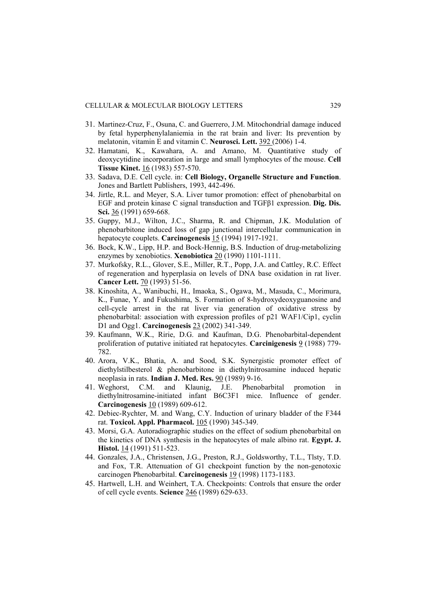- 31. Martinez-Cruz, F., Osuna, C. and Guerrero, J.M. Mitochondrial damage induced by fetal hyperphenylalaniemia in the rat brain and liver: Its prevention by melatonin, vitamin E and vitamin C. **Neurosci. Lett.** 392 (2006) 1-4.
- 32. Hamatani, K., Kawahara, A. and Amano, M. Quantitative study of deoxycytidine incorporation in large and small lymphocytes of the mouse. **Cell Tissue Kinet.** 16 (1983) 557-570.
- 33. Sadava, D.E. Cell cycle. in: **Cell Biology, Organelle Structure and Function**. Jones and Bartlett Publishers, 1993, 442-496.
- 34. Jirtle, R.L. and Meyer, S.A. Liver tumor promotion: effect of phenobarbital on EGF and protein kinase C signal transduction and TGFβ1 expression. **Dig. Dis. Sci.** 36 (1991) 659-668.
- 35. Guppy, M.J., Wilton, J.C., Sharma, R. and Chipman, J.K. Modulation of phenobarbitone induced loss of gap junctional intercellular communication in hepatocyte couplets. **Carcinogenesis** 15 (1994) 1917-1921.
- 36. Bock, K.W., Lipp, H.P. and Bock-Hennig, B.S. Induction of drug-metabolizing enzymes by xenobiotics. **Xenobiotica** 20 (1990) 1101-1111.
- 37. Murkofsky, R.L., Glover, S.E., Miller, R.T., Popp, J.A. and Cattley, R.C. Effect of regeneration and hyperplasia on levels of DNA base oxidation in rat liver. **Cancer Lett.** 70 (1993) 51-56.
- 38. Kinoshita, A., Wanibuchi, H., Imaoka, S., Ogawa, M., Masuda, C., Morimura, K., Funae, Y. and Fukushima, S. Formation of 8-hydroxydeoxyguanosine and cell-cycle arrest in the rat liver via generation of oxidative stress by phenobarbital: association with expression profiles of p21 WAF1/Cip1, cyclin D1 and Ogg1. **Carcinogenesis** 23 (2002) 341-349.
- 39. Kaufmann, W.K., Ririe, D.G. and Kaufman, D.G. Phenobarbital-dependent proliferation of putative initiated rat hepatocytes. **Carcinigenesis** 9 (1988) 779- 782.
- 40. Arora, V.K., Bhatia, A. and Sood, S.K. Synergistic promoter effect of diethylstilbesterol & phenobarbitone in diethylnitrosamine induced hepatic neoplasia in rats. **Indian J. Med. Res.** 90 (1989) 9-16.
- 41. Weghorst, C.M. and Klaunig, J.E. Phenobarbital promotion in diethylnitrosamine-initiated infant B6C3F1 mice. Influence of gender. **Carcinogenesis** 10 (1989) 609-612.
- 42. Debiec-Rychter, M. and Wang, C.Y. Induction of urinary bladder of the F344 rat. **Toxicol. Appl. Pharmacol.** 105 (1990) 345-349.
- 43. Morsi, G.A. Autoradiographic studies on the effect of sodium phenobarbital on the kinetics of DNA synthesis in the hepatocytes of male albino rat. **Egypt. J. Histol.** 14 (1991) 511-523.
- 44. Gonzales, J.A., Christensen, J.G., Preston, R.J., Goldsworthy, T.L., Tlsty, T.D. and Fox, T.R. Attenuation of G1 checkpoint function by the non-genotoxic carcinogen Phenobarbital. **Carcinogenesis** 19 (1998) 1173-1183.
- 45. Hartwell, L.H. and Weinhert, T.A. Checkpoints: Controls that ensure the order of cell cycle events. **Science** 246 (1989) 629-633.